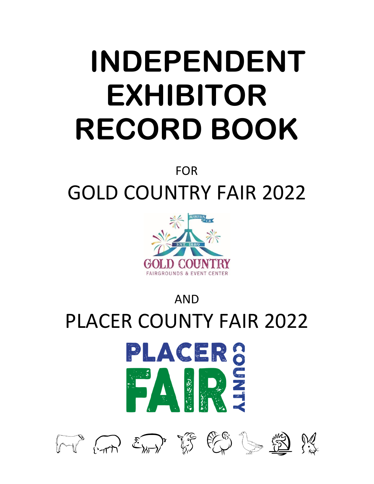## **INDEPENDENT EXHIBITOR RECORD BOOK**

#### FOR

## GOLD COUNTRY FAIR 2022



# AND PLACER COUNTY FAIR 2022 PLACER 8<br>FAIRS

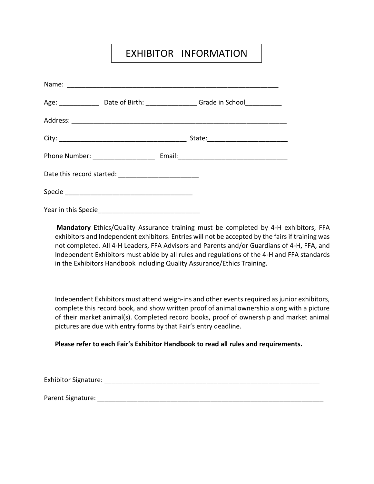#### EXHIBITOR INFORMATION

|                                    | Age: _____________________Date of Birth: ____________________Grade in School_______________________ |
|------------------------------------|-----------------------------------------------------------------------------------------------------|
|                                    |                                                                                                     |
|                                    |                                                                                                     |
| Phone Number: ____________________ |                                                                                                     |
|                                    |                                                                                                     |
|                                    |                                                                                                     |
|                                    |                                                                                                     |

**Mandatory** Ethics/Quality Assurance training must be completed by 4-H exhibitors, FFA exhibitors and Independent exhibitors. Entries will not be accepted by the fairs if training was not completed. All 4-H Leaders, FFA Advisors and Parents and/or Guardians of 4-H, FFA, and Independent Exhibitors must abide by all rules and regulations of the 4-H and FFA standards in the Exhibitors Handbook including Quality Assurance/Ethics Training.

Independent Exhibitors must attend weigh-ins and other events required as junior exhibitors, complete this record book, and show written proof of animal ownership along with a picture of their market animal(s). Completed record books, proof of ownership and market animal pictures are due with entry forms by that Fair's entry deadline.

#### **Please refer to each Fair's Exhibitor Handbook to read all rules and requirements.**

Exhibitor Signature: \_\_\_\_\_\_\_\_\_\_\_\_\_\_\_\_\_\_\_\_\_\_\_\_\_\_\_\_\_\_\_\_\_\_\_\_\_\_\_\_\_\_\_\_\_\_\_\_\_\_\_\_\_\_\_\_\_\_\_

Parent Signature: \_\_\_\_\_\_\_\_\_\_\_\_\_\_\_\_\_\_\_\_\_\_\_\_\_\_\_\_\_\_\_\_\_\_\_\_\_\_\_\_\_\_\_\_\_\_\_\_\_\_\_\_\_\_\_\_\_\_\_\_\_\_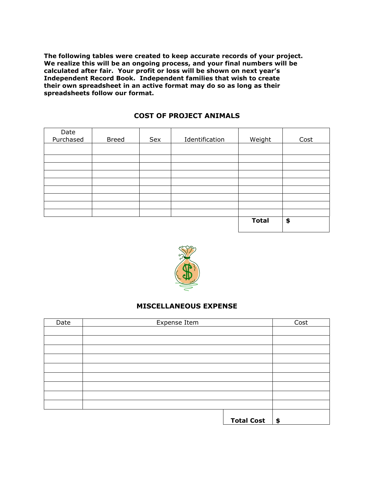**The following tables were created to keep accurate records of your project. We realize this will be an ongoing process, and your final numbers will be calculated after fair. Your profit or loss will be shown on next year's Independent Record Book. Independent families that wish to create their own spreadsheet in an active format may do so as long as their spreadsheets follow our format.**

|  |  | <b>COST OF PROJECT ANIMALS</b> |  |
|--|--|--------------------------------|--|
|--|--|--------------------------------|--|

| Date<br>Purchased | <b>Breed</b> | Sex | Identification | Weight       | Cost |
|-------------------|--------------|-----|----------------|--------------|------|
|                   |              |     |                |              |      |
|                   |              |     |                |              |      |
|                   |              |     |                |              |      |
|                   |              |     |                |              |      |
|                   |              |     |                |              |      |
|                   |              |     |                |              |      |
|                   |              |     |                |              |      |
|                   |              |     |                |              |      |
|                   |              |     |                |              |      |
|                   |              |     |                | <b>Total</b> | \$   |



#### **MISCELLANEOUS EXPENSE**

| Date | Expense Item      | Cost          |
|------|-------------------|---------------|
|      |                   |               |
|      |                   |               |
|      |                   |               |
|      |                   |               |
|      |                   |               |
|      |                   |               |
|      |                   |               |
|      |                   |               |
|      |                   |               |
|      |                   |               |
|      | <b>Total Cost</b> | $\frac{1}{2}$ |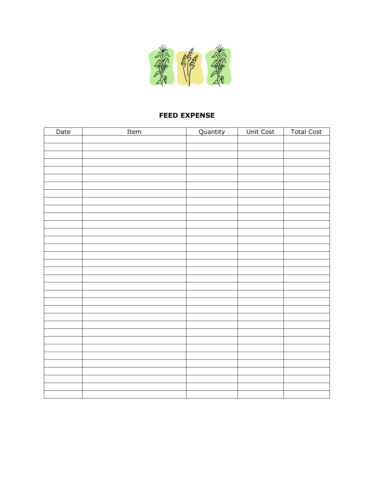

#### **FEED EXPENSE**

| Date | Item | Quantity | Unit Cost | <b>Total Cost</b> |
|------|------|----------|-----------|-------------------|
|      |      |          |           |                   |
|      |      |          |           |                   |
|      |      |          |           |                   |
|      |      |          |           |                   |
|      |      |          |           |                   |
|      |      |          |           |                   |
|      |      |          |           |                   |
|      |      |          |           |                   |
|      |      |          |           |                   |
|      |      |          |           |                   |
|      |      |          |           |                   |
|      |      |          |           |                   |
|      |      |          |           |                   |
|      |      |          |           |                   |
|      |      |          |           |                   |
|      |      |          |           |                   |
|      |      |          |           |                   |
|      |      |          |           |                   |
|      |      |          |           |                   |
|      |      |          |           |                   |
|      |      |          |           |                   |
|      |      |          |           |                   |
|      |      |          |           |                   |
|      |      |          |           |                   |
|      |      |          |           |                   |
|      |      |          |           |                   |
|      |      |          |           |                   |
|      |      |          |           |                   |
|      |      |          |           |                   |
|      |      |          |           |                   |
|      |      |          |           |                   |
|      |      |          |           |                   |
|      |      |          |           |                   |
|      |      |          |           |                   |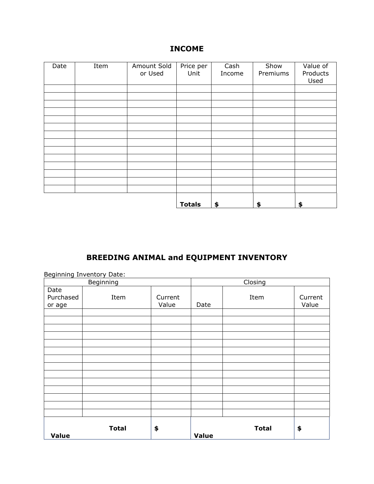#### **INCOME**

| Date | Item | Amount Sold<br>or Used | Price per<br>Unit | Cash<br>Income | Show<br>Premiums | Value of<br>Products<br>Used |
|------|------|------------------------|-------------------|----------------|------------------|------------------------------|
|      |      |                        |                   |                |                  |                              |
|      |      |                        |                   |                |                  |                              |
|      |      |                        |                   |                |                  |                              |
|      |      |                        |                   |                |                  |                              |
|      |      |                        |                   |                |                  |                              |
|      |      |                        |                   |                |                  |                              |
|      |      |                        |                   |                |                  |                              |
|      |      |                        |                   |                |                  |                              |
|      |      |                        |                   |                |                  |                              |
|      |      |                        |                   |                |                  |                              |
|      |      |                        |                   |                |                  |                              |
|      |      |                        |                   |                |                  |                              |
|      |      |                        |                   |                |                  |                              |
|      |      |                        |                   |                |                  |                              |
|      |      |                        | <b>Totals</b>     | \$             | \$               | \$                           |

#### **BREEDING ANIMAL and EQUIPMENT INVENTORY**

|                             | Beginning Inventory Date: |                  |                       |              |                  |
|-----------------------------|---------------------------|------------------|-----------------------|--------------|------------------|
|                             | Beginning                 |                  | $\overline{C}$ losing |              |                  |
| Date<br>Purchased<br>or age | Item                      | Current<br>Value | Date                  | Item         | Current<br>Value |
|                             |                           |                  |                       |              |                  |
|                             |                           |                  |                       |              |                  |
|                             |                           |                  |                       |              |                  |
|                             |                           |                  |                       |              |                  |
|                             |                           |                  |                       |              |                  |
|                             |                           |                  |                       |              |                  |
|                             |                           |                  |                       |              |                  |
|                             |                           |                  |                       |              |                  |
|                             |                           |                  |                       |              |                  |
|                             |                           |                  |                       |              |                  |
|                             |                           |                  |                       |              |                  |
|                             |                           |                  |                       |              |                  |
|                             |                           |                  |                       |              |                  |
|                             |                           |                  |                       |              |                  |
| <b>Value</b>                | <b>Total</b>              | \$               | <b>Value</b>          | <b>Total</b> | \$               |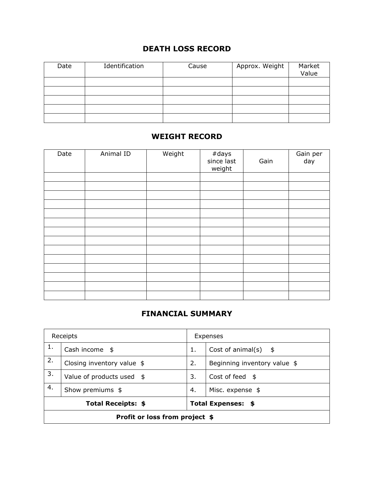#### **DEATH LOSS RECORD**

| Date | Identification | Cause | Approx. Weight | Market<br>Value |
|------|----------------|-------|----------------|-----------------|
|      |                |       |                |                 |
|      |                |       |                |                 |
|      |                |       |                |                 |
|      |                |       |                |                 |
|      |                |       |                |                 |

#### **WEIGHT RECORD**

| Date | Animal ID | Weight | #days<br>since last<br>weight | Gain | Gain per<br>day |
|------|-----------|--------|-------------------------------|------|-----------------|
|      |           |        |                               |      |                 |
|      |           |        |                               |      |                 |
|      |           |        |                               |      |                 |
|      |           |        |                               |      |                 |
|      |           |        |                               |      |                 |
|      |           |        |                               |      |                 |
|      |           |        |                               |      |                 |
|      |           |        |                               |      |                 |
|      |           |        |                               |      |                 |
|      |           |        |                               |      |                 |
|      |           |        |                               |      |                 |
|      |           |        |                               |      |                 |
|      |           |        |                               |      |                 |
|      |           |        |                               |      |                 |

#### **FINANCIAL SUMMARY**

|    | Receipts                                        | Expenses                    |                              |  |
|----|-------------------------------------------------|-----------------------------|------------------------------|--|
| 1. | Cash income $$$                                 | Cost of animal(s) $$$<br>1. |                              |  |
| 2. | Closing inventory value $$$                     | 2.                          | Beginning inventory value \$ |  |
| 3. | Value of products used $$$                      | 3.<br>Cost of feed $$$      |                              |  |
| 4. | Show premiums \$                                | Misc. expense \$<br>4.      |                              |  |
|    | <b>Total Receipts: \$</b><br>Total Expenses: \$ |                             |                              |  |
|    | Profit or loss from project \$                  |                             |                              |  |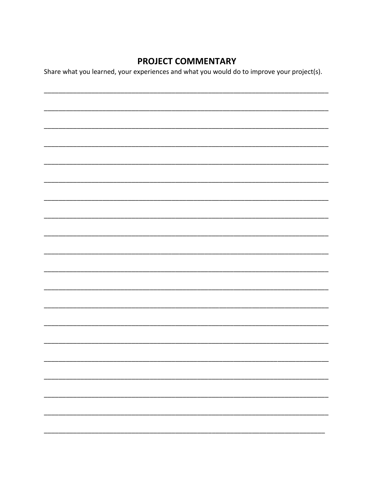#### **PROJECT COMMENTARY**

Share what you learned, your experiences and what you would do to improve your project(s).

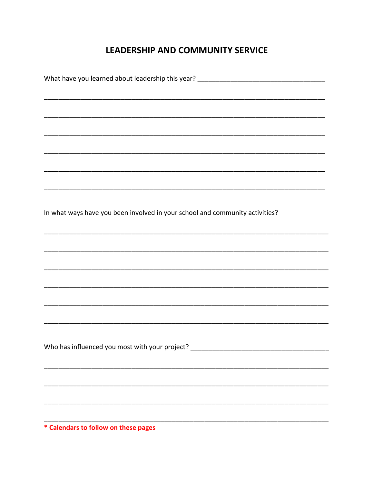#### **LEADERSHIP AND COMMUNITY SERVICE**

| What have you learned about leadership this year? _______________________________ |
|-----------------------------------------------------------------------------------|
|                                                                                   |
|                                                                                   |
|                                                                                   |
|                                                                                   |
|                                                                                   |
|                                                                                   |
|                                                                                   |
|                                                                                   |
|                                                                                   |
| In what ways have you been involved in your school and community activities?      |
|                                                                                   |
|                                                                                   |
|                                                                                   |
|                                                                                   |
|                                                                                   |
|                                                                                   |
|                                                                                   |
|                                                                                   |
|                                                                                   |
| Who has influenced you most with your project?                                    |
|                                                                                   |
|                                                                                   |
|                                                                                   |
|                                                                                   |
|                                                                                   |
|                                                                                   |

\* Calendars to follow on these pages